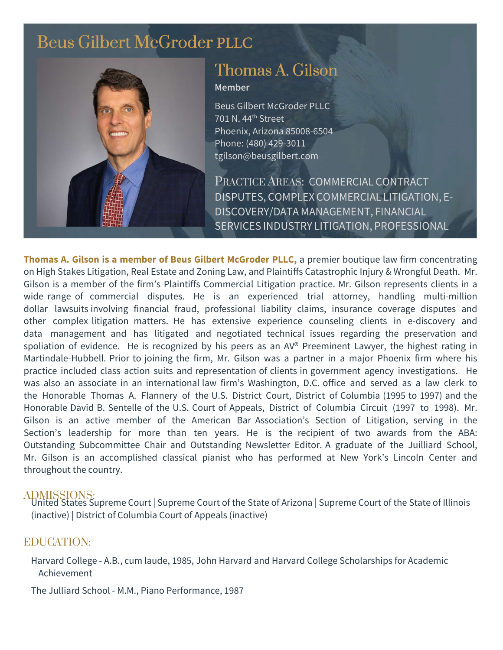## [Beus Gilbert McGroder](https://beusgilbert.com/) PLLC



# [Thomas A. Gilson](https://beusgilbert.com/team/tom-gilson/)

#### Member

Beus Gilbert McGroder PLLC 701 N. 44th Street Phoenix, Arizona 85008-6504 Phone: (480) 429-3011 tgilson@beusgilbert.com

PRACTICE AREAS: COMMERCIAL CONTRACT DISPUTES, COMPLEX COMMERCIAL LITIGATION, E-DISCOVERY/DATA MANAGEMENT, FINANCIAL SERVICES INDUSTRY LITIGATION, PROFESSIONAL

Thomas A. Gilson is a **member** of Beus Gilbert McGroder **PLLC**, a premier boutique law firm concentrating on High Stakes Litigation, Real Estate and Zoning Law, and Plaintiffs Catastrophic Injury & Wrongful Death. Mr. Gilson is a member of the firm's Plaintiffs Commercial Litigation practice. Mr. Gilson represents clients in a wide range of commercial disputes. He is an experienced trial attorney, handling multi-million dollar lawsuits involving financial fraud, professional liability claims, insurance coverage disputes and other complex litigation matters. He has extensive experience counseling clients in e-discovery and data management and has litigated and negotiated technical issues regarding the preservation and spoliation of evidence. He is recognized by his peers as an AV® Preeminent Lawyer, the highest rating in Martindale-Hubbell. Prior to joining the firm, Mr. Gilson was a partner in a major Phoenix firm where his practice included class action suits and representation of clients in government agency investigations. He was also an associate in an international law firm's Washington, D.C. office and served as a law clerk to the Honorable Thomas A. Flannery of the U.S. District Court, District of Columbia (1995 to 1997) and the Honorable David B. Sentelle of the U.S. Court of Appeals, District of Columbia Circuit (1997 to 1998). Mr. Gilson is an active member of the American Bar Association's Section of Litigation, serving in the Section's leadership for more than ten years. He is the recipient of two awards from the ABA: Outstanding Subcommittee Chair and Outstanding Newsletter Editor. A graduate of the Juilliard School, Mr. Gilson is an accomplished classical pianist who has performed at New York's Lincoln Center and throughout the country.

ADMISSIONS: United States Supreme Court | Supreme Court of the State of Arizona | Supreme Court of the State of Illinois (inactive) | District of Columbia Court of Appeals (inactive)

## EDUCATION:

Harvard College - A.B., cum laude, 1985, John Harvard and Harvard College Scholarships for Academic Achievement

The Julliard School - M.M., Piano Performance, 1987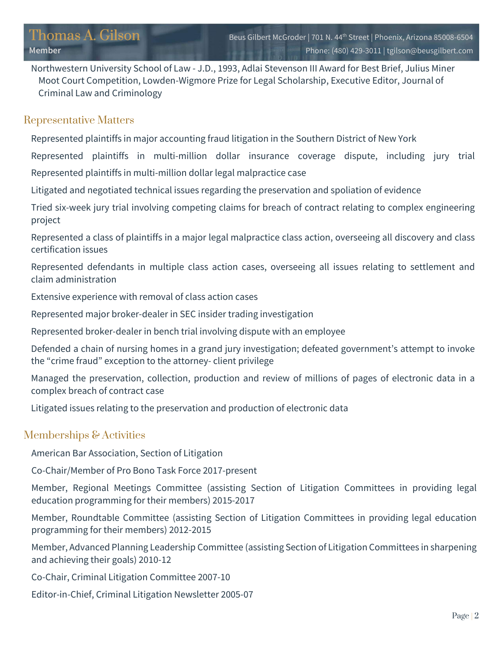Northwestern University School of Law - J.D., 1993, Adlai Stevenson III Award for Best Brief, Julius Miner Moot Court Competition, Lowden-Wigmore Prize for Legal Scholarship, Executive Editor, Journal of Criminal Law and Criminology

#### Representative Matters

Represented plaintiffs in major accounting fraud litigation in the Southern District of New York

Represented plaintiffs in multi-million dollar insurance coverage dispute, including jury trial Represented plaintiffs in multi-million dollar legal malpractice case

Litigated and negotiated technical issues regarding the preservation and spoliation of evidence

Tried six-week jury trial involving competing claims for breach of contract relating to complex engineering project

Represented a class of plaintiffs in a major legal malpractice class action, overseeing all discovery and class certification issues

Represented defendants in multiple class action cases, overseeing all issues relating to settlement and claim administration

Extensive experience with removal of class action cases

Represented major broker-dealer in SEC insider trading investigation

Represented broker-dealer in bench trial involving dispute with an employee

Defended a chain of nursing homes in a grand jury investigation; defeated government's attempt to invoke the "crime fraud" exception to the attorney client privilege

Managed the preservation, collection, production and review of millions of pages of electronic data in a complex breach of contract case

Litigated issues relating to the preservation and production of electronic data

## Memberships & Activities

American Bar Association, Section of Litigation

Co-Chair/Member of Pro Bono Task Force 2017-present

Member, Regional Meetings Committee (assisting Section of Litigation Committees in providing legal education programming for their members) 2015-2017

Member, Roundtable Committee (assisting Section of Litigation Committees in providing legal education programming for their members) 2012-2015

Member, Advanced Planning Leadership Committee (assisting Section of Litigation Committees in sharpening and achieving their goals) 2010-12

Co-Chair, Criminal Litigation Committee 2007-10

Editor-in-Chief, Criminal Litigation Newsletter 2005-07